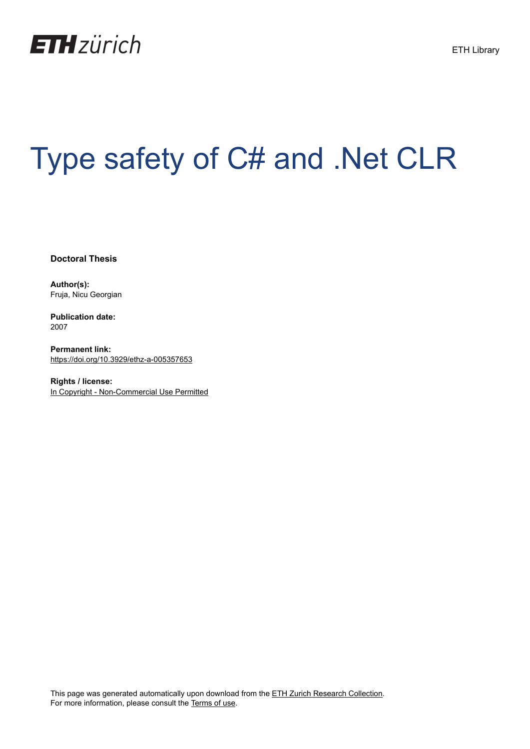

## Type safety of C# and .Net CLR

**Doctoral Thesis**

**Author(s):** Fruja, Nicu Georgian

**Publication date:** 2007

**Permanent link:** <https://doi.org/10.3929/ethz-a-005357653>

**Rights / license:** [In Copyright - Non-Commercial Use Permitted](http://rightsstatements.org/page/InC-NC/1.0/)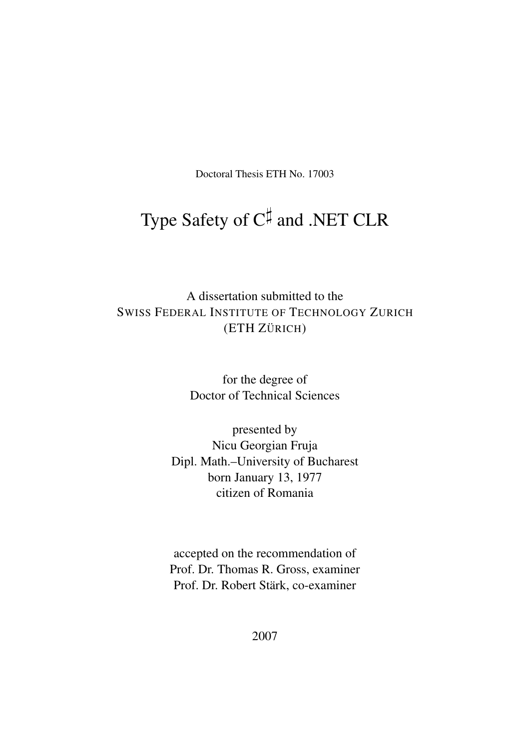Doctoral Thesis ETH No. 17003

## Type Safety of  $C^{\sharp}$  and .NET CLR

A dissertation submitted to the SWISS FEDERAL INSTITUTE OF TECHNOLOGY ZURICH (ETH ZÜRICH)

> for the degree of Doctor of Technical Sciences

presented by Nicu Georgian Fruja Dipl. Math.–University of Bucharest born January 13, 1977 citizen of Romania

accepted on the recommendation of Prof. Dr. Thomas R. Gross, examiner Prof. Dr. Robert Stärk, co-examiner

2007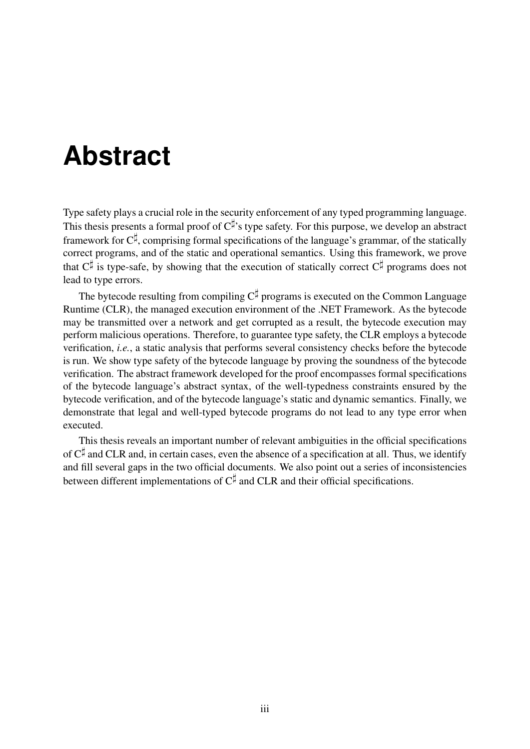## **Abstract**

Type safety plays a crucial role in the security enforcement of any typed programming language. This thesis presents a formal proof of  $C^{\sharp}$ 's type safety. For this purpose, we develop an abstract framework for  $C^{\sharp}$ , comprising formal specifications of the language's grammar, of the statically correct programs, and of the static and operational semantics. Using this framework, we prove that  $C^{\sharp}$  is type-safe, by showing that the execution of statically correct  $C^{\sharp}$  programs does not lead to type errors.

The bytecode resulting from compiling  $C^{\sharp}$  programs is executed on the Common Language Runtime (CLR), the managed execution environment of the .NET Framework. As the bytecode may be transmitted over a network and get corrupted as a result, the bytecode execution may perform malicious operations. Therefore, to guarantee type safety, the CLR employs a bytecode verification, *i.e.*, a static analysis that performs several consistency checks before the bytecode is run. We show type safety of the bytecode language by proving the soundness of the bytecode verification. The abstract framework developed for the proof encompasses formal specifications of the bytecode language's abstract syntax, of the well-typedness constraints ensured by the bytecode verification, and of the bytecode language's static and dynamic semantics. Finally, we demonstrate that legal and well-typed bytecode programs do not lead to any type error when executed.

This thesis reveals an important number of relevant ambiguities in the official specifications of  $C^{\sharp}$  and CLR and, in certain cases, even the absence of a specification at all. Thus, we identify and fill several gaps in the two official documents. We also point out a series of inconsistencies between different implementations of  $C^{\sharp}$  and CLR and their official specifications.